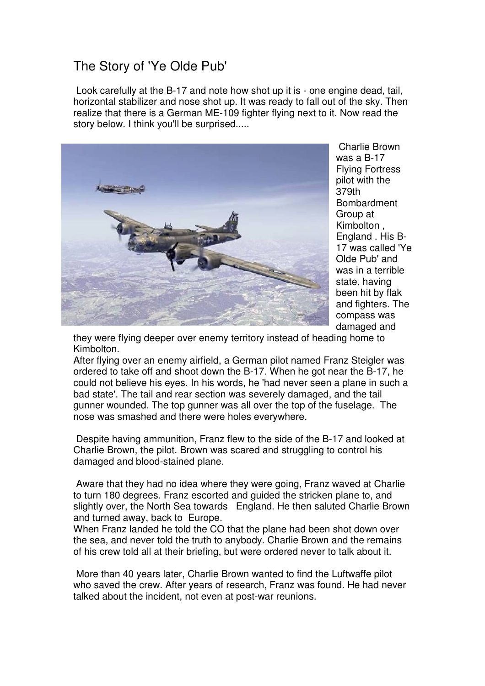## The Story of 'Ye Olde Pub'

 Look carefully at the B-17 and note how shot up it is - one engine dead, tail, horizontal stabilizer and nose shot up. It was ready to fall out of the sky. Then realize that there is a German ME-109 fighter flying next to it. Now read the story below. I think you'll be surprised.....



 Charlie Brown was a B-17 Flying Fortress pilot with the 379th **Bombardment** Group at Kimbolton , England . His B-17 was called 'Ye Olde Pub' and was in a terrible state, having been hit by flak and fighters. The compass was damaged and

they were flying deeper over enemy territory instead of heading home to Kimbolton.

After flying over an enemy airfield, a German pilot named Franz Steigler was ordered to take off and shoot down the B-17. When he got near the B-17, he could not believe his eyes. In his words, he 'had never seen a plane in such a bad state'. The tail and rear section was severely damaged, and the tail gunner wounded. The top gunner was all over the top of the fuselage. The nose was smashed and there were holes everywhere.

 Despite having ammunition, Franz flew to the side of the B-17 and looked at Charlie Brown, the pilot. Brown was scared and struggling to control his damaged and blood-stained plane.

 Aware that they had no idea where they were going, Franz waved at Charlie to turn 180 degrees. Franz escorted and guided the stricken plane to, and slightly over, the North Sea towards England. He then saluted Charlie Brown and turned away, back to Europe.

When Franz landed he told the CO that the plane had been shot down over the sea, and never told the truth to anybody. Charlie Brown and the remains of his crew told all at their briefing, but were ordered never to talk about it.

 More than 40 years later, Charlie Brown wanted to find the Luftwaffe pilot who saved the crew. After years of research, Franz was found. He had never talked about the incident, not even at post-war reunions.